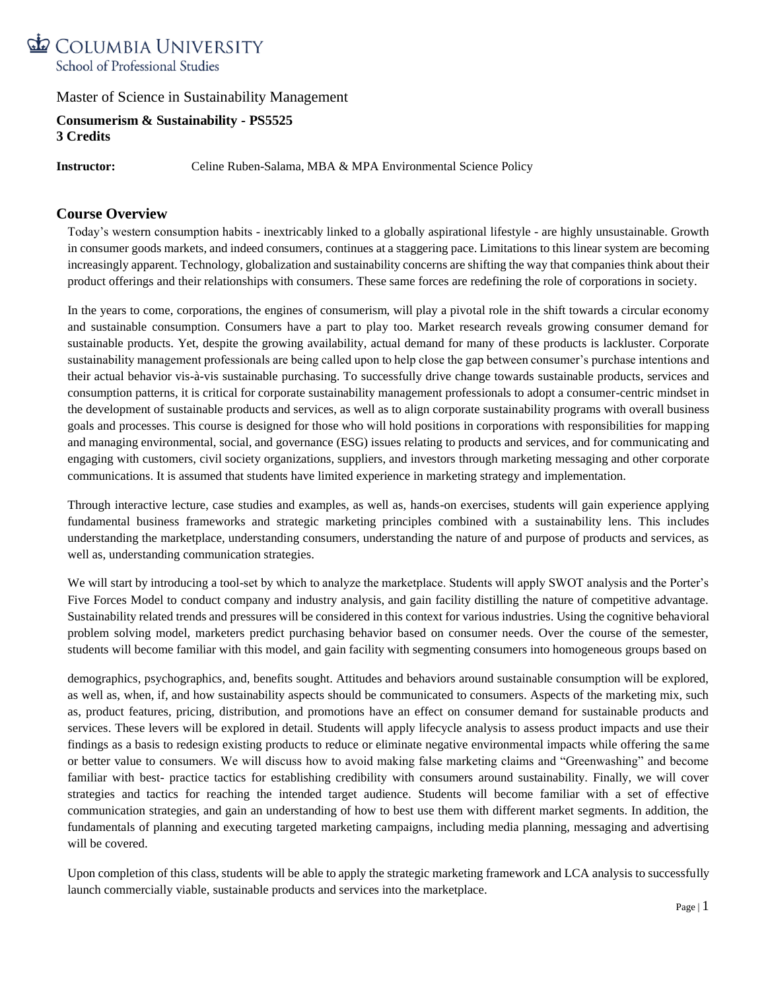

**Consumerism & Sustainability - PS5525 3 Credits**

**Instructor:** Celine Ruben-Salama, MBA & MPA Environmental Science Policy

### **Course Overview**

Today's western consumption habits - inextricably linked to a globally aspirational lifestyle - are highly unsustainable. Growth in consumer goods markets, and indeed consumers, continues at a staggering pace. Limitations to this linear system are becoming increasingly apparent. Technology, globalization and sustainability concerns are shifting the way that companies think about their product offerings and their relationships with consumers. These same forces are redefining the role of corporations in society.

In the years to come, corporations, the engines of consumerism, will play a pivotal role in the shift towards a circular economy and sustainable consumption. Consumers have a part to play too. Market research reveals growing consumer demand for sustainable products. Yet, despite the growing availability, actual demand for many of these products is lackluster. Corporate sustainability management professionals are being called upon to help close the gap between consumer's purchase intentions and their actual behavior vis-à-vis sustainable purchasing. To successfully drive change towards sustainable products, services and consumption patterns, it is critical for corporate sustainability management professionals to adopt a consumer-centric mindset in the development of sustainable products and services, as well as to align corporate sustainability programs with overall business goals and processes. This course is designed for those who will hold positions in corporations with responsibilities for mapping and managing environmental, social, and governance (ESG) issues relating to products and services, and for communicating and engaging with customers, civil society organizations, suppliers, and investors through marketing messaging and other corporate communications. It is assumed that students have limited experience in marketing strategy and implementation.

Through interactive lecture, case studies and examples, as well as, hands-on exercises, students will gain experience applying fundamental business frameworks and strategic marketing principles combined with a sustainability lens. This includes understanding the marketplace, understanding consumers, understanding the nature of and purpose of products and services, as well as, understanding communication strategies.

We will start by introducing a tool-set by which to analyze the marketplace. Students will apply SWOT analysis and the Porter's Five Forces Model to conduct company and industry analysis, and gain facility distilling the nature of competitive advantage. Sustainability related trends and pressures will be considered in this context for various industries. Using the cognitive behavioral problem solving model, marketers predict purchasing behavior based on consumer needs. Over the course of the semester, students will become familiar with this model, and gain facility with segmenting consumers into homogeneous groups based on

demographics, psychographics, and, benefits sought. Attitudes and behaviors around sustainable consumption will be explored, as well as, when, if, and how sustainability aspects should be communicated to consumers. Aspects of the marketing mix, such as, product features, pricing, distribution, and promotions have an effect on consumer demand for sustainable products and services. These levers will be explored in detail. Students will apply lifecycle analysis to assess product impacts and use their findings as a basis to redesign existing products to reduce or eliminate negative environmental impacts while offering the same or better value to consumers. We will discuss how to avoid making false marketing claims and "Greenwashing" and become familiar with best- practice tactics for establishing credibility with consumers around sustainability. Finally, we will cover strategies and tactics for reaching the intended target audience. Students will become familiar with a set of effective communication strategies, and gain an understanding of how to best use them with different market segments. In addition, the fundamentals of planning and executing targeted marketing campaigns, including media planning, messaging and advertising will be covered.

Upon completion of this class, students will be able to apply the strategic marketing framework and LCA analysis to successfully launch commercially viable, sustainable products and services into the marketplace.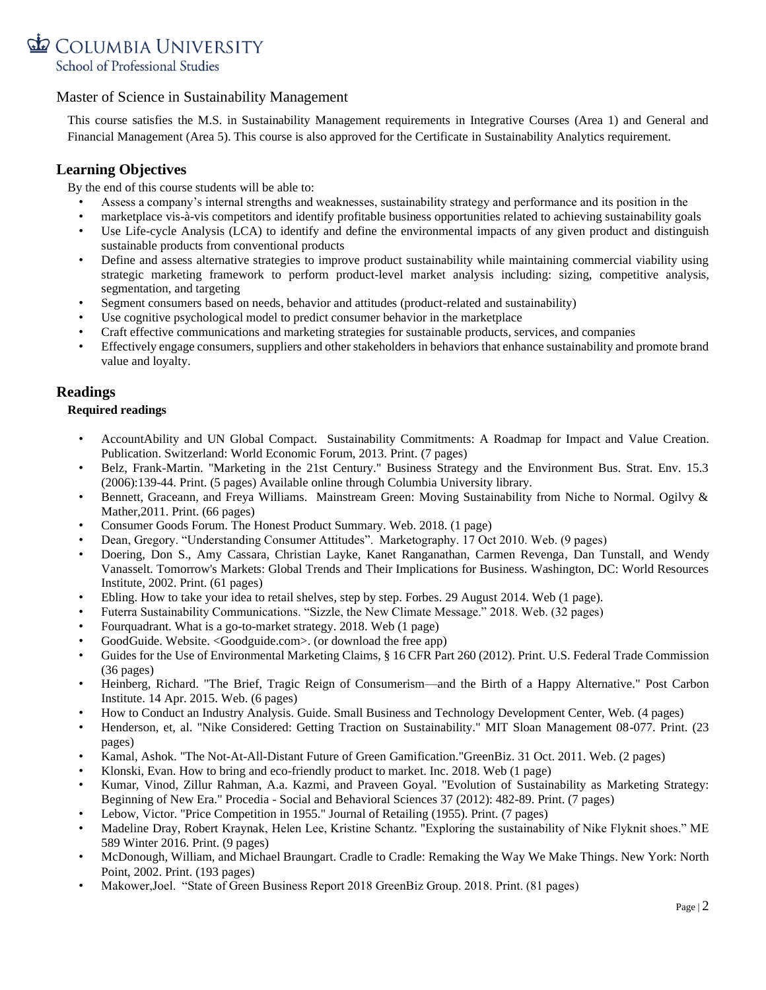

This course satisfies the M.S. in Sustainability Management requirements in Integrative Courses (Area 1) and General and Financial Management (Area 5). This course is also approved for the Certificate in Sustainability Analytics requirement.

## **Learning Objectives**

By the end of this course students will be able to:

- Assess a company's internal strengths and weaknesses, sustainability strategy and performance and its position in the
- marketplace vis-à-vis competitors and identify profitable business opportunities related to achieving sustainability goals
- Use Life-cycle Analysis (LCA) to identify and define the environmental impacts of any given product and distinguish sustainable products from conventional products
- Define and assess alternative strategies to improve product sustainability while maintaining commercial viability using strategic marketing framework to perform product-level market analysis including: sizing, competitive analysis, segmentation, and targeting
- Segment consumers based on needs, behavior and attitudes (product-related and sustainability)
- Use cognitive psychological model to predict consumer behavior in the marketplace
- Craft effective communications and marketing strategies for sustainable products, services, and companies
- Effectively engage consumers, suppliers and other stakeholders in behaviors that enhance sustainability and promote brand value and loyalty.

## **Readings**

#### **Required readings**

- AccountAbility and UN Global Compact. Sustainability Commitments: A Roadmap for Impact and Value Creation. Publication. Switzerland: World Economic Forum, 2013. Print. (7 pages)
- Belz, Frank-Martin. "Marketing in the 21st Century." Business Strategy and the Environment Bus. Strat. Env. 15.3 (2006):139-44. Print. (5 pages) Available online through Columbia University library.
- Bennett, Graceann, and Freya Williams. Mainstream Green: Moving Sustainability from Niche to Normal. Ogilvy & Mather,2011. Print. (66 pages)
- Consumer Goods Forum. The Honest Product Summary. Web. 2018. (1 page)
- Dean, Gregory. "Understanding Consumer Attitudes". Marketography. 17 Oct 2010. Web. (9 pages)
- Doering, Don S., Amy Cassara, Christian Layke, Kanet Ranganathan, Carmen Revenga, Dan Tunstall, and Wendy Vanasselt. Tomorrow's Markets: Global Trends and Their Implications for Business. Washington, DC: World Resources Institute, 2002. Print. (61 pages)
- Ebling. How to take your idea to retail shelves, step by step. Forbes. 29 August 2014. Web (1 page).
- Futerra Sustainability Communications. "Sizzle, the New Climate Message." 2018. Web. (32 pages)
- Fourquadrant. What is a go-to-market strategy. 2018. Web (1 page)
- GoodGuide. Website. <Goodguide.com>. (or download the free app)
- Guides for the Use of Environmental Marketing Claims, § 16 CFR Part 260 (2012). Print. U.S. Federal Trade Commission (36 pages)
- Heinberg, Richard. "The Brief, Tragic Reign of Consumerism—and the Birth of a Happy Alternative." Post Carbon Institute. 14 Apr. 2015. Web. (6 pages)
- How to Conduct an Industry Analysis. Guide. Small Business and Technology Development Center, Web. (4 pages)
- Henderson, et, al. "Nike Considered: Getting Traction on Sustainability." MIT Sloan Management 08-077. Print. (23 pages)
- Kamal, Ashok. "The Not-At-All-Distant Future of Green Gamification."GreenBiz. 31 Oct. 2011. Web. (2 pages)
- Klonski, Evan. How to bring and eco-friendly product to market. Inc. 2018. Web (1 page)
- Kumar, Vinod, Zillur Rahman, A.a. Kazmi, and Praveen Goyal. "Evolution of Sustainability as Marketing Strategy: Beginning of New Era." Procedia - Social and Behavioral Sciences 37 (2012): 482-89. Print. (7 pages)
- Lebow, Victor. "Price Competition in 1955." Journal of Retailing (1955). Print. (7 pages)
- Madeline Dray, Robert Kraynak, Helen Lee, Kristine Schantz. "Exploring the sustainability of Nike Flyknit shoes." ME 589 Winter 2016. Print. (9 pages)
- McDonough, William, and Michael Braungart. Cradle to Cradle: Remaking the Way We Make Things. New York: North Point, 2002. Print. (193 pages)
- Makower,Joel. "State of Green Business Report 2018 GreenBiz Group. 2018. Print. (81 pages)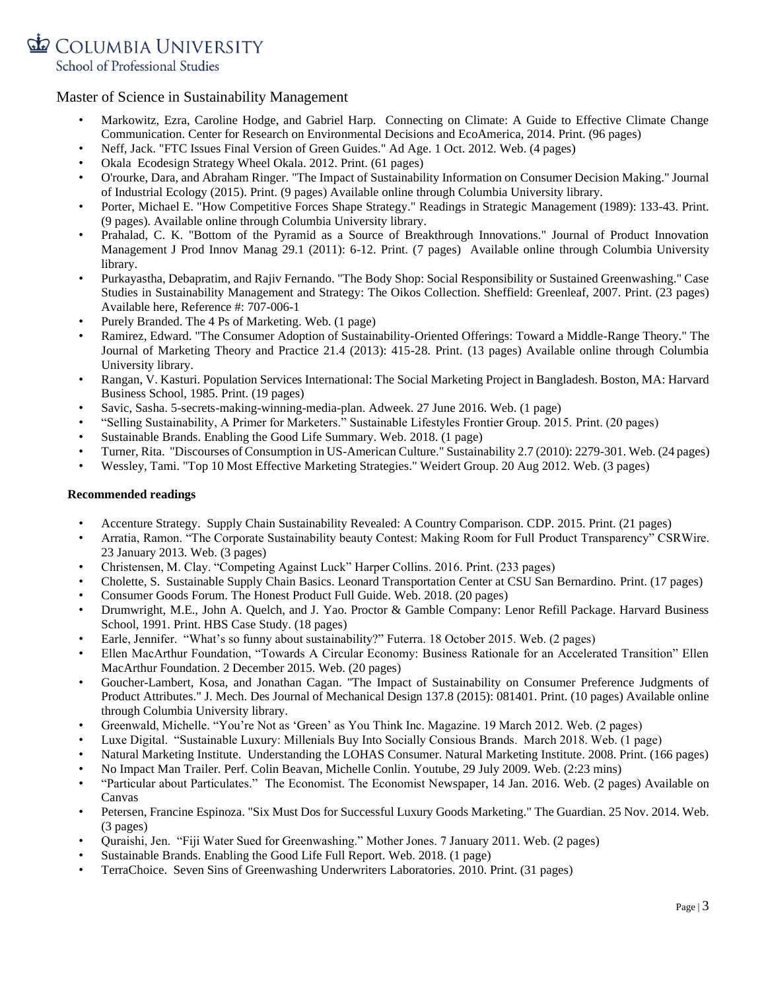COLUMBIA UNIVERSITY

School of Professional Studies

### Master of Science in Sustainability Management

- Markowitz, Ezra, Caroline Hodge, and Gabriel Harp. Connecting on Climate: A Guide to Effective Climate Change Communication. Center for Research on Environmental Decisions and EcoAmerica, 2014. Print. (96 pages)
- Neff, Jack. "FTC Issues Final Version of Green Guides." Ad Age. 1 Oct. 2012. Web. (4 pages)
- Okala Ecodesign Strategy Wheel Okala. 2012. Print. (61 pages)
- O'rourke, Dara, and Abraham Ringer. "The Impact of Sustainability Information on Consumer Decision Making." Journal of Industrial Ecology (2015). Print. (9 pages) Available online through Columbia University library.
- Porter, Michael E. "How Competitive Forces Shape Strategy." Readings in Strategic Management (1989): 133-43. Print. (9 pages). Available online through Columbia University library.
- Prahalad, C. K. "Bottom of the Pyramid as a Source of Breakthrough Innovations." Journal of Product Innovation Management J Prod Innov Manag 29.1 (2011): 6-12. Print. (7 pages) Available online through Columbia University library.
- Purkayastha, Debapratim, and Rajiv Fernando. "The Body Shop: Social Responsibility or Sustained Greenwashing." Case Studies in Sustainability Management and Strategy: The Oikos Collection. Sheffield: Greenleaf, 2007. Print. (23 pages) Available here, Reference #: 707-006-1
- Purely Branded. The 4 Ps of Marketing. Web. (1 page)
- Ramirez, Edward. "The Consumer Adoption of Sustainability-Oriented Offerings: Toward a Middle-Range Theory." The Journal of Marketing Theory and Practice 21.4 (2013): 415-28. Print. (13 pages) Available online through Columbia University library.
- Rangan, V. Kasturi. Population Services International: The Social Marketing Project in Bangladesh. Boston, MA: Harvard Business School, 1985. Print. (19 pages)
- Savic, Sasha. 5-secrets-making-winning-media-plan. Adweek. 27 June 2016. Web. (1 page)
- "Selling Sustainability, A Primer for Marketers." Sustainable Lifestyles Frontier Group. 2015. Print. (20 pages)
- Sustainable Brands. Enabling the Good Life Summary. Web. 2018. (1 page)
- Turner, Rita. "Discourses of Consumption in US-American Culture." Sustainability 2.7 (2010): 2279-301. Web. (24 pages)
- Wessley, Tami. "Top 10 Most Effective Marketing Strategies." Weidert Group. 20 Aug 2012. Web. (3 pages)

#### **Recommended readings**

- Accenture Strategy. Supply Chain Sustainability Revealed: A Country Comparison. CDP. 2015. Print. (21 pages)
- Arratia, Ramon. "The Corporate Sustainability beauty Contest: Making Room for Full Product Transparency" CSRWire. 23 January 2013. Web. (3 pages)
- Christensen, M. Clay. "Competing Against Luck" Harper Collins. 2016. Print. (233 pages)
- Cholette, S. Sustainable Supply Chain Basics. Leonard Transportation Center at CSU San Bernardino. Print. (17 pages)
- Consumer Goods Forum. The Honest Product Full Guide. Web. 2018. (20 pages)
- Drumwright, M.E., John A. Quelch, and J. Yao. Proctor & Gamble Company: Lenor Refill Package. Harvard Business School, 1991. Print. HBS Case Study. (18 pages)
- Earle, Jennifer. "What's so funny about sustainability?" Futerra. 18 October 2015. Web. (2 pages)
- Ellen MacArthur Foundation, "Towards A Circular Economy: Business Rationale for an Accelerated Transition" Ellen MacArthur Foundation. 2 December 2015. Web. (20 pages)
- Goucher-Lambert, Kosa, and Jonathan Cagan. "The Impact of Sustainability on Consumer Preference Judgments of Product Attributes." J. Mech. Des Journal of Mechanical Design 137.8 (2015): 081401. Print. (10 pages) Available online through Columbia University library.
- Greenwald, Michelle. "You're Not as 'Green' as You Think Inc. Magazine. 19 March 2012. Web. (2 pages)
- Luxe Digital. "Sustainable Luxury: Millenials Buy Into Socially Consious Brands. March 2018. Web. (1 page)
- Natural Marketing Institute. Understanding the LOHAS Consumer. Natural Marketing Institute. 2008. Print. (166 pages)
- No Impact Man Trailer. Perf. Colin Beavan, Michelle Conlin. Youtube, 29 July 2009. Web. (2:23 mins)
- "Particular about Particulates." The Economist. The Economist Newspaper, 14 Jan. 2016. Web. (2 pages) Available on Canvas
- Petersen, Francine Espinoza. "Six Must Dos for Successful Luxury Goods Marketing." The Guardian. 25 Nov. 2014. Web. (3 pages)
- Quraishi, Jen. "Fiji Water Sued for Greenwashing." Mother Jones. 7 January 2011. Web. (2 pages)
- Sustainable Brands. Enabling the Good Life Full Report. Web. 2018. (1 page)
- TerraChoice. Seven Sins of Greenwashing Underwriters Laboratories. 2010. Print. (31 pages)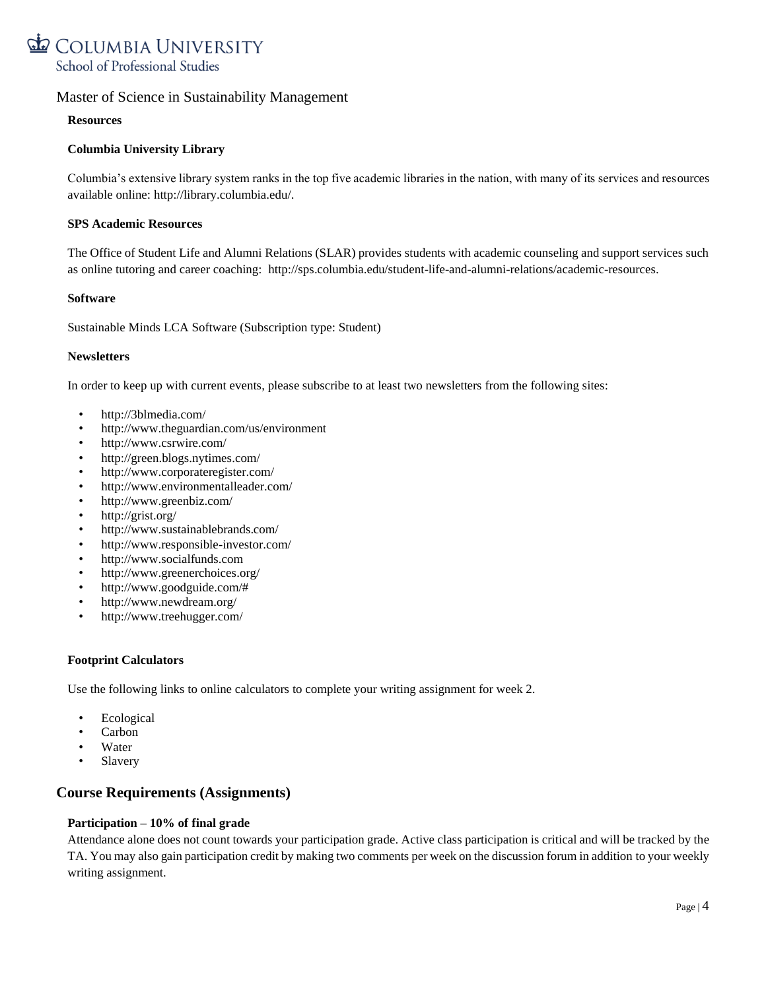

#### **Resources**

#### **Columbia University Library**

Columbia's extensive library system ranks in the top five academic libraries in the nation, with many of its services and resources available online: [http://library.columbia.edu/.](http://library.columbia.edu/)

#### **SPS Academic Resources**

The Office of Student Life and Alumni Relations (SLAR) provides students with academic counseling and support services such as online tutoring and career coaching: [http://sps.columbia.edu/student-life-and-alumni-relations/academic-resources.](http://sps.columbia.edu/student-life-and-alumni-relations/academic-resources)

#### **Software**

[Sustainable Minds LCA Software \(S](http://www.sustainableminds.com/get-started)ubscription type: Student)

#### **Newsletters**

In order to keep up with current events, please subscribe to at least two newsletters from the following sites:

- http://3blmedia.com/
- http://www.theguardian.com/us/environment
- http://www.csrwire.com/
- http://green.blogs.nytimes.com/
- http://www.corporateregister.com/
- http://www.environmentalleader.com/
- http://www.greenbiz.com/
- http://grist.org/
- http://www.sustainablebrands.com/
- http://www.responsible-investor.com/
- http://www.socialfunds.com
- http://www.greenerchoices.org/
- http://www.goodguide.com/#
- http://www.newdream.org/
- http://www.treehugger.com/

#### **Footprint Calculators**

Use the following links to online calculators to complete your writing assignment for week 2.

- **Ecological**
- Carbon
- Water
- Slavery

## **Course Requirements (Assignments)**

#### **Participation – 10% of final grade**

Attendance alone does not count towards your participation grade. Active class participation is critical and will be tracked by the TA. You may also gain participation credit by making two comments per week on the discussion forum in addition to your weekly writing assignment.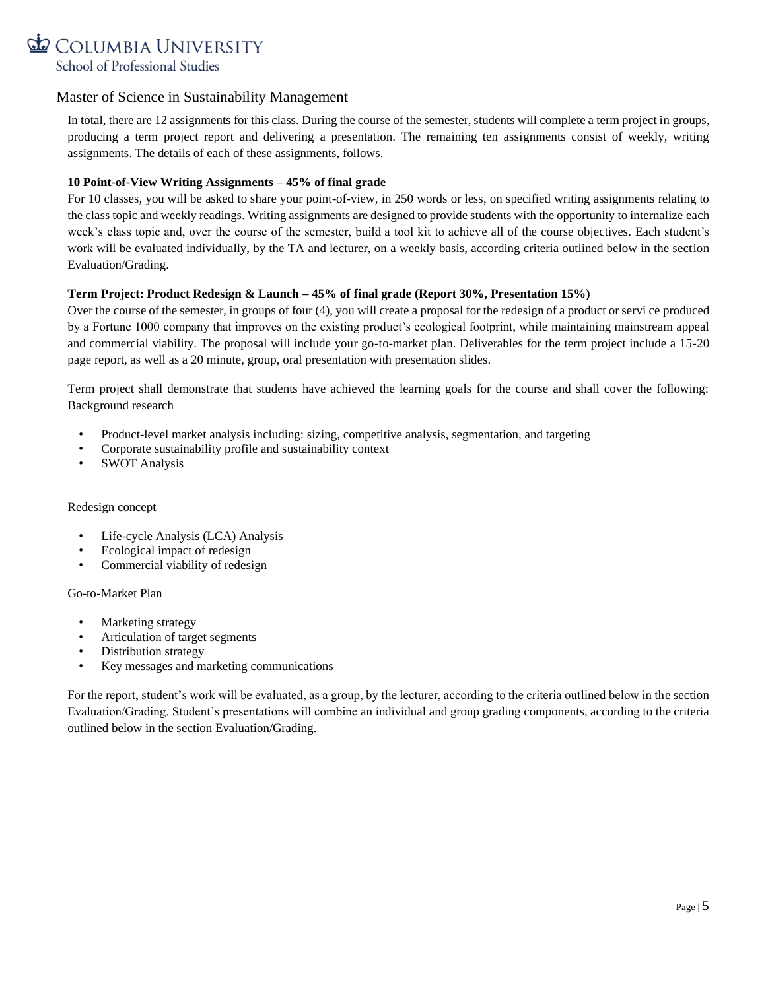

In total, there are 12 assignments for this class. During the course of the semester, students will complete a term project in groups, producing a term project report and delivering a presentation. The remaining ten assignments consist of weekly, writing assignments. The details of each of these assignments, follows.

#### **10 Point-of-View Writing Assignments – 45% of final grade**

For 10 classes, you will be asked to share your point-of-view, in 250 words or less, on specified writing assignments relating to the class topic and weekly readings. Writing assignments are designed to provide students with the opportunity to internalize each week's class topic and, over the course of the semester, build a tool kit to achieve all of the course objectives. Each student's work will be evaluated individually, by the TA and lecturer, on a weekly basis, according criteria outlined below in the section Evaluation/Grading.

#### **Term Project: Product Redesign & Launch – 45% of final grade (Report 30%, Presentation 15%)**

Over the course of the semester, in groups of four (4), you will create a proposal for the redesign of a product or servi ce produced by a Fortune 1000 company that improves on the existing product's ecological footprint, while maintaining mainstream appeal and commercial viability. The proposal will include your go-to-market plan. Deliverables for the term project include a 15-20 page report, as well as a 20 minute, group, oral presentation with presentation slides.

Term project shall demonstrate that students have achieved the learning goals for the course and shall cover the following: Background research

- Product-level market analysis including: sizing, competitive analysis, segmentation, and targeting
- Corporate sustainability profile and sustainability context
- SWOT Analysis

#### Redesign concept

- Life-cycle Analysis (LCA) Analysis
- Ecological impact of redesign
- Commercial viability of redesign

#### Go-to-Market Plan

- Marketing strategy
- Articulation of target segments
- Distribution strategy
- Key messages and marketing communications

For the report, student's work will be evaluated, as a group, by the lecturer, according to the criteria outlined below in the section Evaluation/Grading. Student's presentations will combine an individual and group grading components, according to the criteria outlined below in the section Evaluation/Grading.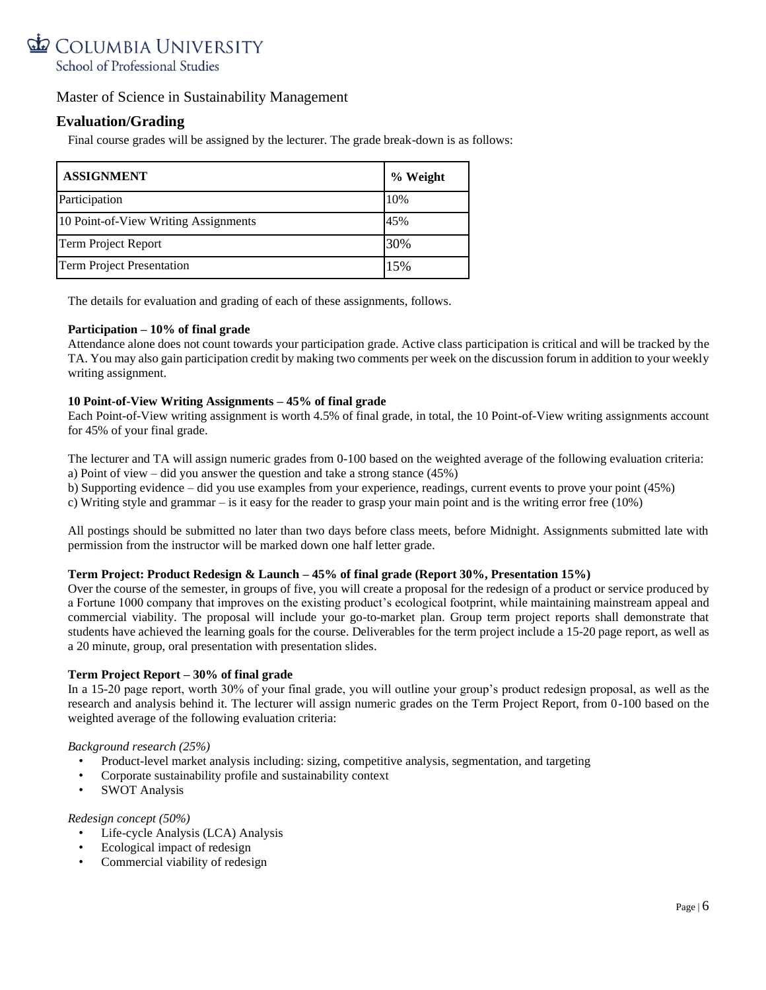# COLUMBIA UNIVERSITY School of Professional Studies

### Master of Science in Sustainability Management

## **Evaluation/Grading**

Final course grades will be assigned by the lecturer. The grade break-down is as follows:

| <b>ASSIGNMENT</b>                    | % Weight |
|--------------------------------------|----------|
| Participation                        | 10%      |
| 10 Point-of-View Writing Assignments | 45%      |
| <b>Term Project Report</b>           | 30%      |
| Term Project Presentation            | 15%      |

The details for evaluation and grading of each of these assignments, follows.

#### **Participation – 10% of final grade**

Attendance alone does not count towards your participation grade. Active class participation is critical and will be tracked by the TA. You may also gain participation credit by making two comments per week on the discussion forum in addition to your weekly writing assignment.

#### **10 Point-of-View Writing Assignments – 45% of final grade**

Each Point-of-View writing assignment is worth 4.5% of final grade, in total, the 10 Point-of-View writing assignments account for 45% of your final grade.

The lecturer and TA will assign numeric grades from 0-100 based on the weighted average of the following evaluation criteria: a) Point of view – did you answer the question and take a strong stance (45%)

b) Supporting evidence – did you use examples from your experience, readings, current events to prove your point (45%)

c) Writing style and grammar – is it easy for the reader to grasp your main point and is the writing error free (10%)

All postings should be submitted no later than two days before class meets, before Midnight. Assignments submitted late with permission from the instructor will be marked down one half letter grade.

#### **Term Project: Product Redesign & Launch – 45% of final grade (Report 30%, Presentation 15%)**

Over the course of the semester, in groups of five, you will create a proposal for the redesign of a product or service produced by a Fortune 1000 company that improves on the existing product's ecological footprint, while maintaining mainstream appeal and commercial viability. The proposal will include your go-to-market plan. Group term project reports shall demonstrate that students have achieved the learning goals for the course. Deliverables for the term project include a 15-20 page report, as well as a 20 minute, group, oral presentation with presentation slides.

#### **Term Project Report – 30% of final grade**

In a 15-20 page report, worth 30% of your final grade, you will outline your group's product redesign proposal, as well as the research and analysis behind it. The lecturer will assign numeric grades on the Term Project Report, from 0-100 based on the weighted average of the following evaluation criteria:

#### *Background research (25%)*

- Product-level market analysis including: sizing, competitive analysis, segmentation, and targeting
- Corporate sustainability profile and sustainability context
- SWOT Analysis

#### *Redesign concept (50%)*

- Life-cycle Analysis (LCA) Analysis
- Ecological impact of redesign
- Commercial viability of redesign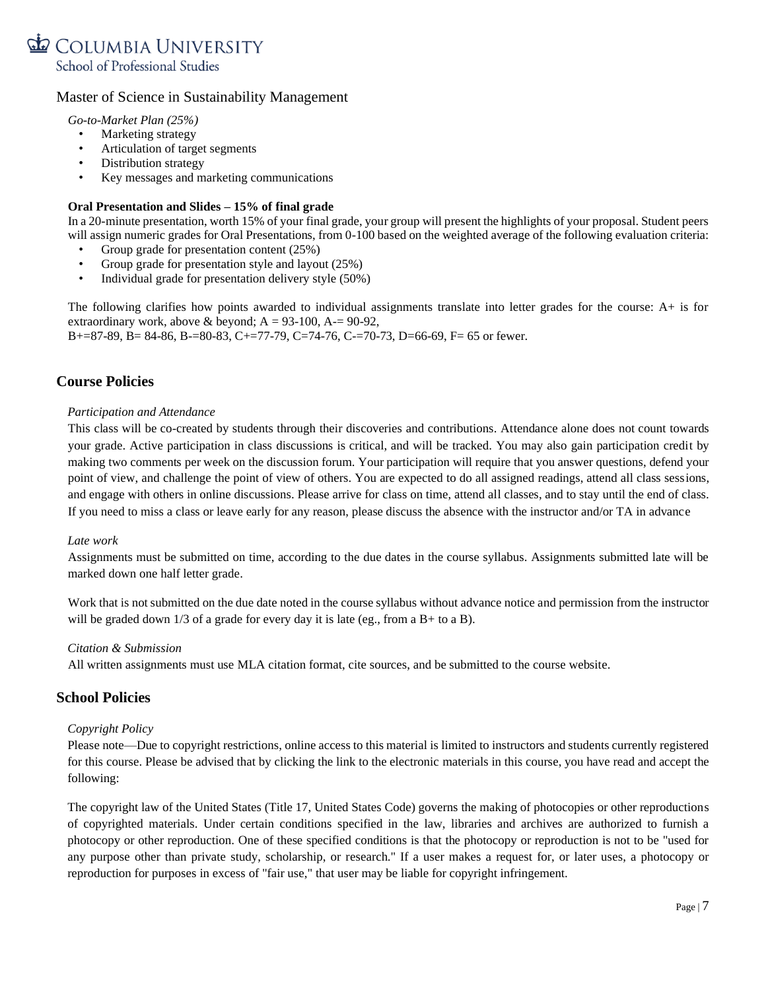

*Go-to-Market Plan (25%)*

- Marketing strategy
- Articulation of target segments
- Distribution strategy
- Key messages and marketing communications

#### **Oral Presentation and Slides – 15% of final grade**

In a 20-minute presentation, worth 15% of your final grade, your group will present the highlights of your proposal. Student peers will assign numeric grades for Oral Presentations, from 0-100 based on the weighted average of the following evaluation criteria:

- Group grade for presentation content (25%)
- Group grade for presentation style and layout (25%)
- Individual grade for presentation delivery style (50%)

The following clarifies how points awarded to individual assignments translate into letter grades for the course: A+ is for extraordinary work, above & beyond;  $A = 93-100$ ,  $A = 90-92$ , B+=87-89, B= 84-86, B-=80-83, C+=77-79, C=74-76, C-=70-73, D=66-69, F= 65 or fewer.

## **Course Policies**

#### *Participation and Attendance*

This class will be co-created by students through their discoveries and contributions. Attendance alone does not count towards your grade. Active participation in class discussions is critical, and will be tracked. You may also gain participation credit by making two comments per week on the discussion forum. Your participation will require that you answer questions, defend your point of view, and challenge the point of view of others. You are expected to do all assigned readings, attend all class sessions, and engage with others in online discussions. Please arrive for class on time, attend all classes, and to stay until the end of class. If you need to miss a class or leave early for any reason, please discuss the absence with the instructor and/or TA in advance

#### *Late work*

Assignments must be submitted on time, according to the due dates in the course syllabus. Assignments submitted late will be marked down one half letter grade.

Work that is not submitted on the due date noted in the course syllabus without advance notice and permission from the instructor will be graded down  $1/3$  of a grade for every day it is late (eg., from a B+ to a B).

#### *Citation & Submission*

All written assignments must use MLA citation format, cite sources, and be submitted to the course website.

### **School Policies**

#### *Copyright Policy*

Please note—Due to copyright restrictions, online access to this material is limited to instructors and students currently registered for this course. Please be advised that by clicking the link to the electronic materials in this course, you have read and accept the following:

The copyright law of the United States (Title 17, United States Code) governs the making of photocopies or other reproductions of copyrighted materials. Under certain conditions specified in the law, libraries and archives are authorized to furnish a photocopy or other reproduction. One of these specified conditions is that the photocopy or reproduction is not to be "used for any purpose other than private study, scholarship, or research." If a user makes a request for, or later uses, a photocopy or reproduction for purposes in excess of "fair use," that user may be liable for copyright infringement.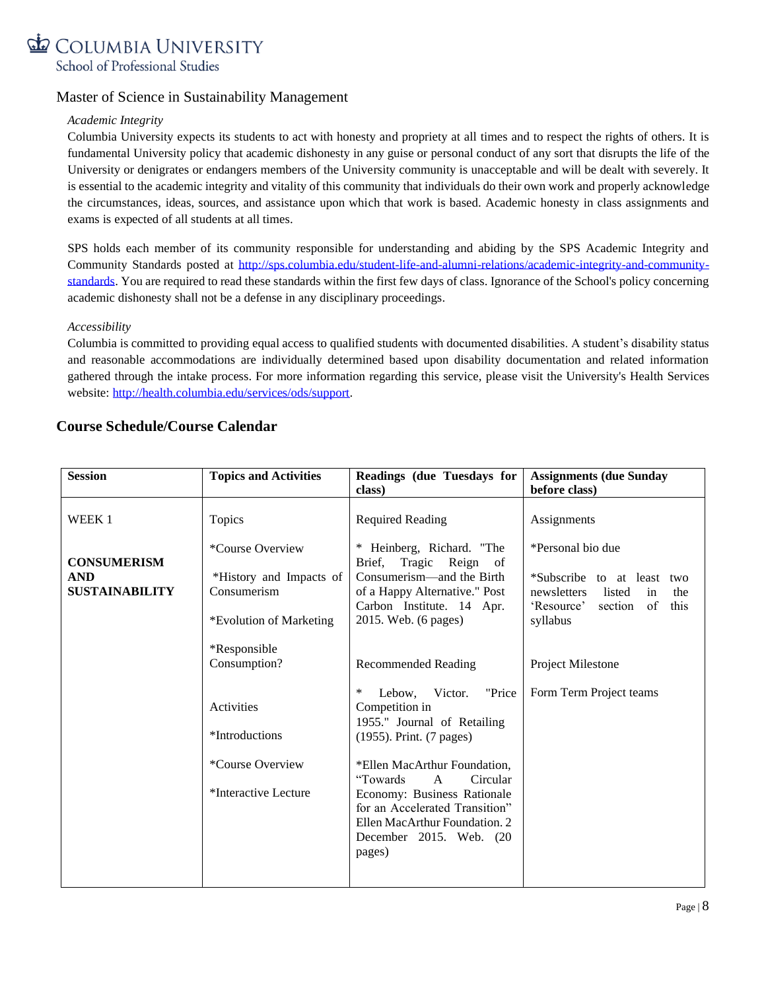

#### *Academic Integrity*

Columbia University expects its students to act with honesty and propriety at all times and to respect the rights of others. It is fundamental University policy that academic dishonesty in any guise or personal conduct of any sort that disrupts the life of the University or denigrates or endangers members of the University community is unacceptable and will be dealt with severely. It is essential to the academic integrity and vitality of this community that individuals do their own work and properly acknowledge the circumstances, ideas, sources, and assistance upon which that work is based. Academic honesty in class assignments and exams is expected of all students at all times.

SPS holds each member of its community responsible for understanding and abiding by the SPS Academic Integrity and Community Standards posted at [http://sps.columbia.edu/student-life-and-alumni-relations/academic-integrity-and-community](http://sps.columbia.edu/student-life-and-alumni-relations/academic-integrity-and-community-standards)[standards.](http://sps.columbia.edu/student-life-and-alumni-relations/academic-integrity-and-community-standards) You are required to read these standards within the first few days of class. Ignorance of the School's policy concerning academic dishonesty shall not be a defense in any disciplinary proceedings.

#### *Accessibility*

Columbia is committed to providing equal access to qualified students with documented disabilities. A student's disability status and reasonable accommodations are individually determined based upon disability documentation and related information gathered through the intake process. For more information regarding this service, please visit the University's Health Services website: [http://health.columbia.edu/services/ods/support.](http://health.columbia.edu/services/ods/support)

## **Course Schedule/Course Calendar**

| <b>Session</b>                                            | <b>Topics and Activities</b>                                                                             | Readings (due Tuesdays for<br>class)                                                                                                                                                                                                                                                  | <b>Assignments (due Sunday</b><br>before class)                                                                                             |
|-----------------------------------------------------------|----------------------------------------------------------------------------------------------------------|---------------------------------------------------------------------------------------------------------------------------------------------------------------------------------------------------------------------------------------------------------------------------------------|---------------------------------------------------------------------------------------------------------------------------------------------|
| WEEK 1                                                    | Topics                                                                                                   | <b>Required Reading</b>                                                                                                                                                                                                                                                               | Assignments                                                                                                                                 |
| <b>CONSUMERISM</b><br><b>AND</b><br><b>SUSTAINABILITY</b> | <i>*Course Overview</i><br>*History and Impacts of<br>Consumerism<br>*Evolution of Marketing             | * Heinberg, Richard. "The<br>Tragic Reign of<br>Brief,<br>Consumerism—and the Birth<br>of a Happy Alternative." Post<br>Carbon Institute. 14 Apr.<br>2015. Web. (6 pages)                                                                                                             | *Personal bio due<br>*Subscribe to at least<br>two<br>listed<br>newsletters<br>the<br>in<br>of<br>this<br>'Resource'<br>section<br>syllabus |
|                                                           | *Responsible<br>Consumption?<br>Activities<br>*Introductions<br>*Course Overview<br>*Interactive Lecture | <b>Recommended Reading</b><br>"Price<br>∗<br>Lebow,<br>Victor.<br>Competition in<br>1955." Journal of Retailing<br>(1955). Print. (7 pages)<br>*Ellen MacArthur Foundation,<br>"Towards"<br>Circular<br>$\mathbf{A}$<br>Economy: Business Rationale<br>for an Accelerated Transition" | Project Milestone<br>Form Term Project teams                                                                                                |
|                                                           |                                                                                                          | Ellen MacArthur Foundation. 2<br>December 2015. Web. (20<br>pages)                                                                                                                                                                                                                    |                                                                                                                                             |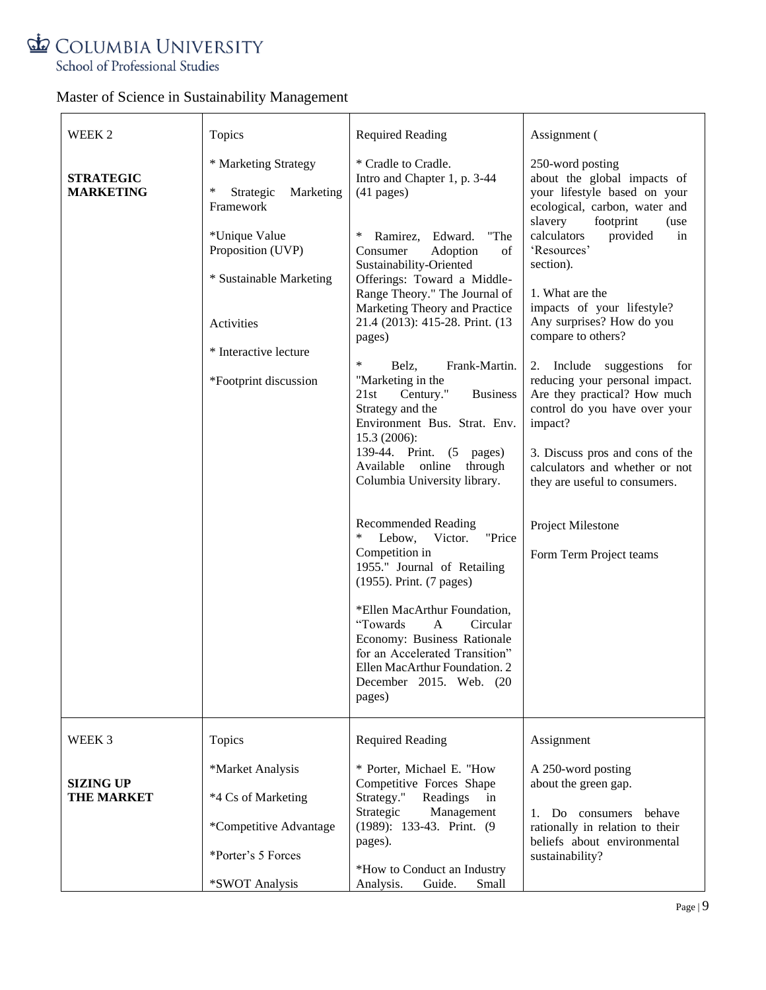# COLUMBIA UNIVERSITY School of Professional Studies

| WEEK 2                               | Topics                                                                | <b>Required Reading</b>                                                                                                                                                          | Assignment (                                                                                                                                     |
|--------------------------------------|-----------------------------------------------------------------------|----------------------------------------------------------------------------------------------------------------------------------------------------------------------------------|--------------------------------------------------------------------------------------------------------------------------------------------------|
| <b>STRATEGIC</b><br><b>MARKETING</b> | * Marketing Strategy<br>$\ast$<br>Strategic<br>Marketing<br>Framework | * Cradle to Cradle.<br>Intro and Chapter 1, p. 3-44<br>$(41$ pages)                                                                                                              | 250-word posting<br>about the global impacts of<br>your lifestyle based on your<br>ecological, carbon, water and<br>slavery<br>footprint<br>(use |
|                                      | *Unique Value<br>Proposition (UVP)                                    | ∗<br>Ramirez, Edward.<br>"The<br>Consumer<br>Adoption<br>of<br>Sustainability-Oriented                                                                                           | calculators<br>provided<br>in<br>'Resources'<br>section).                                                                                        |
|                                      | * Sustainable Marketing<br>Activities                                 | Offerings: Toward a Middle-<br>Range Theory." The Journal of<br>Marketing Theory and Practice<br>21.4 (2013): 415-28. Print. (13                                                 | 1. What are the<br>impacts of your lifestyle?<br>Any surprises? How do you                                                                       |
|                                      |                                                                       | pages)                                                                                                                                                                           | compare to others?                                                                                                                               |
|                                      | * Interactive lecture                                                 | ∗<br>Frank-Martin.<br>Belz,                                                                                                                                                      | 2. Include suggestions for                                                                                                                       |
|                                      | *Footprint discussion                                                 | "Marketing in the<br>21st<br>Century."<br><b>Business</b><br>Strategy and the<br>Environment Bus. Strat. Env.                                                                    | reducing your personal impact.<br>Are they practical? How much<br>control do you have over your<br>impact?                                       |
|                                      |                                                                       | 15.3 (2006):<br>139-44. Print.<br>(5)<br>pages)<br>online<br>Available<br>through<br>Columbia University library.                                                                | 3. Discuss pros and cons of the<br>calculators and whether or not<br>they are useful to consumers.                                               |
|                                      |                                                                       | <b>Recommended Reading</b><br>$\ast$<br>Victor.<br>"Price<br>Lebow,<br>Competition in<br>1955." Journal of Retailing<br>(1955). Print. (7 pages)<br>*Ellen MacArthur Foundation, | Project Milestone<br>Form Term Project teams                                                                                                     |
|                                      |                                                                       | "Towards<br>Circular<br>A<br>Economy: Business Rationale<br>for an Accelerated Transition"<br>Ellen MacArthur Foundation. 2<br>December 2015. Web. (20<br>pages)                 |                                                                                                                                                  |
| WEEK 3                               | Topics                                                                | <b>Required Reading</b>                                                                                                                                                          | Assignment                                                                                                                                       |
| <b>SIZING UP</b>                     | *Market Analysis                                                      | * Porter, Michael E. "How<br>Competitive Forces Shape                                                                                                                            | A 250-word posting<br>about the green gap.                                                                                                       |
| <b>THE MARKET</b>                    | *4 Cs of Marketing                                                    | Strategy."<br>Readings<br>in<br>Strategic<br>Management<br>(1989): 133-43. Print. (9)                                                                                            | 1. Do consumers<br>behave                                                                                                                        |
|                                      | *Competitive Advantage                                                | pages).                                                                                                                                                                          | rationally in relation to their<br>beliefs about environmental                                                                                   |
|                                      | *Porter's 5 Forces                                                    | *How to Conduct an Industry                                                                                                                                                      | sustainability?                                                                                                                                  |
|                                      | *SWOT Analysis                                                        | Guide.<br>Small<br>Analysis.                                                                                                                                                     |                                                                                                                                                  |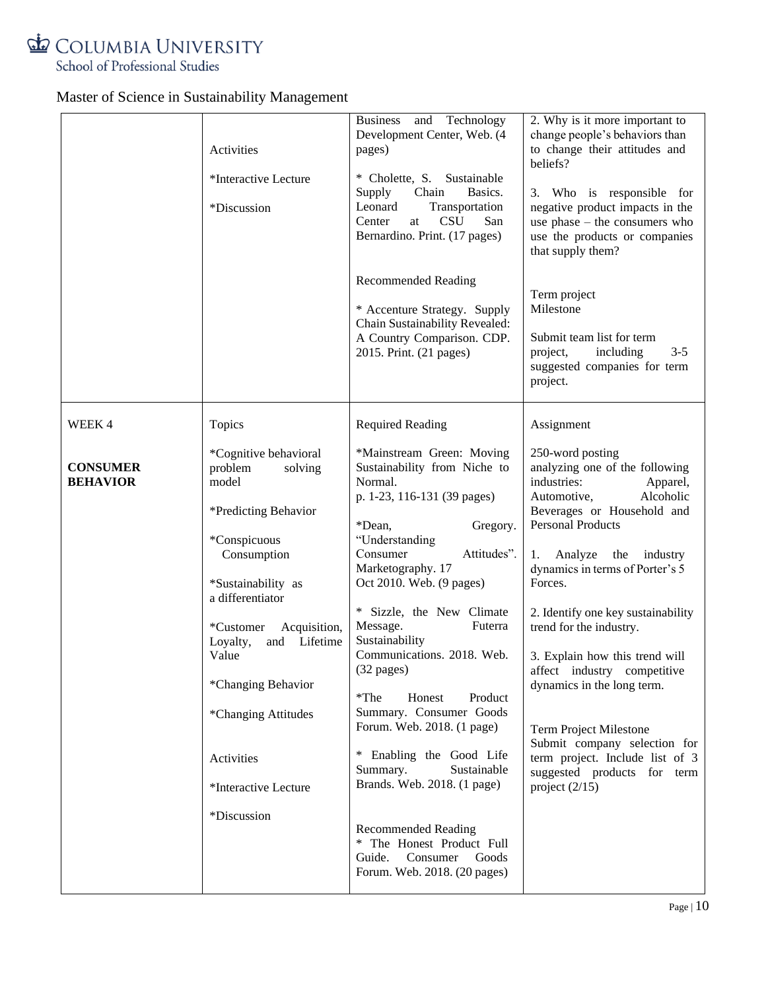

|                                    | Activities<br>*Interactive Lecture<br>*Discussion                                                                                                                                                                                                                                  | Business and Technology<br>Development Center, Web. (4<br>pages)<br>* Cholette, S. Sustainable<br>Basics.<br>Supply<br>Chain<br>Leonard<br>Transportation<br><b>CSU</b><br>San<br>Center<br>at<br>Bernardino. Print. (17 pages)<br><b>Recommended Reading</b><br>* Accenture Strategy. Supply<br>Chain Sustainability Revealed:<br>A Country Comparison. CDP.<br>2015. Print. (21 pages)                                                                       | 2. Why is it more important to<br>change people's behaviors than<br>to change their attitudes and<br>beliefs?<br>3. Who is responsible for<br>negative product impacts in the<br>use $phase - the consumers who$<br>use the products or companies<br>that supply them?<br>Term project<br>Milestone<br>Submit team list for term<br>including<br>$3 - 5$<br>project,<br>suggested companies for term<br>project.                                                                                                          |
|------------------------------------|------------------------------------------------------------------------------------------------------------------------------------------------------------------------------------------------------------------------------------------------------------------------------------|----------------------------------------------------------------------------------------------------------------------------------------------------------------------------------------------------------------------------------------------------------------------------------------------------------------------------------------------------------------------------------------------------------------------------------------------------------------|---------------------------------------------------------------------------------------------------------------------------------------------------------------------------------------------------------------------------------------------------------------------------------------------------------------------------------------------------------------------------------------------------------------------------------------------------------------------------------------------------------------------------|
| WEEK 4                             | Topics                                                                                                                                                                                                                                                                             | <b>Required Reading</b>                                                                                                                                                                                                                                                                                                                                                                                                                                        | Assignment                                                                                                                                                                                                                                                                                                                                                                                                                                                                                                                |
| <b>CONSUMER</b><br><b>BEHAVIOR</b> | *Cognitive behavioral<br>problem<br>solving<br>model<br>*Predicting Behavior<br>*Conspicuous<br>Consumption<br>*Sustainability as<br>a differentiator<br>Acquisition,<br>*Customer<br>and Lifetime<br>Loyalty,<br>Value<br>*Changing Behavior<br>*Changing Attitudes<br>Activities | *Mainstream Green: Moving<br>Sustainability from Niche to<br>Normal.<br>p. 1-23, 116-131 (39 pages)<br>*Dean.<br>Gregory.<br>"Understanding<br>Consumer<br>Attitudes".<br>Marketography. 17<br>Oct 2010. Web. (9 pages)<br>* Sizzle, the New Climate<br>Message.<br>Futerra<br>Sustainability<br>Communications. 2018. Web.<br>(32 pages)<br>$*$ The<br>Honest<br>Product<br>Summary. Consumer Goods<br>Forum. Web. 2018. (1 page)<br>* Enabling the Good Life | 250-word posting<br>analyzing one of the following<br>industries:<br>Apparel,<br>Alcoholic<br>Automotive,<br>Beverages or Household and<br><b>Personal Products</b><br>Analyze<br>the<br>industry<br>1.<br>dynamics in terms of Porter's 5<br>Forces.<br>2. Identify one key sustainability<br>trend for the industry.<br>3. Explain how this trend will<br>affect industry competitive<br>dynamics in the long term.<br><b>Term Project Milestone</b><br>Submit company selection for<br>term project. Include list of 3 |
|                                    | *Interactive Lecture                                                                                                                                                                                                                                                               | Summary.<br>Sustainable<br>Brands. Web. 2018. (1 page)                                                                                                                                                                                                                                                                                                                                                                                                         | suggested products for term<br>project $(2/15)$                                                                                                                                                                                                                                                                                                                                                                                                                                                                           |
|                                    | *Discussion                                                                                                                                                                                                                                                                        | <b>Recommended Reading</b><br>* The Honest Product Full<br>Consumer<br>Guide.<br>Goods<br>Forum. Web. 2018. (20 pages)                                                                                                                                                                                                                                                                                                                                         |                                                                                                                                                                                                                                                                                                                                                                                                                                                                                                                           |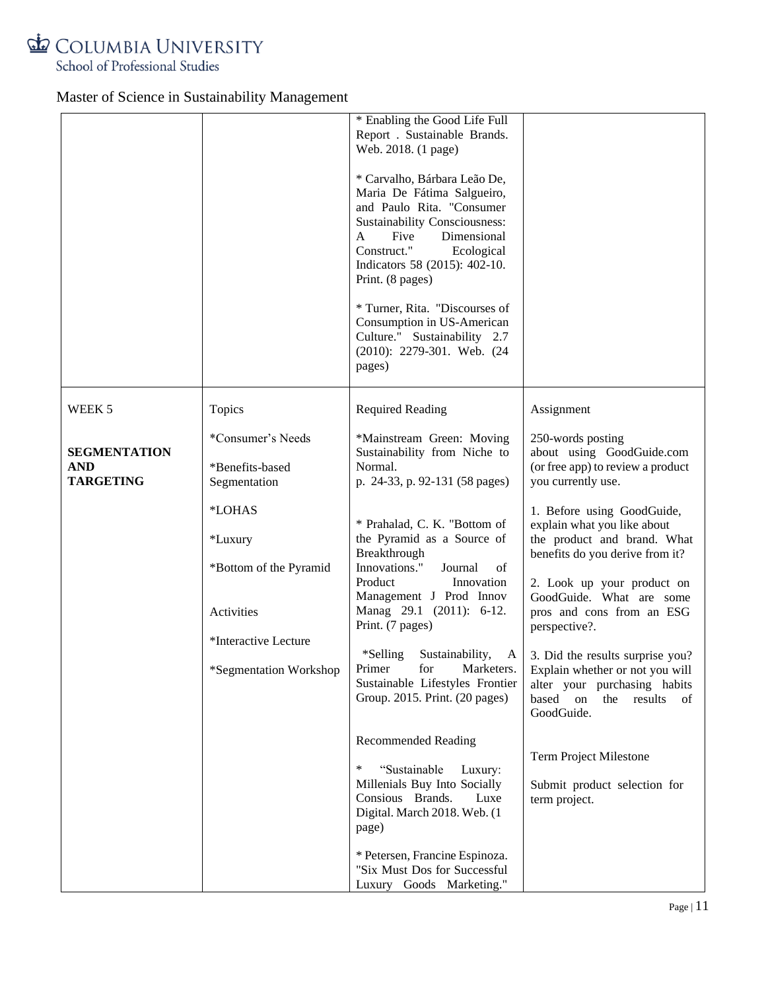

|                                                       |                                                                                                                                                                     | * Enabling the Good Life Full<br>Report . Sustainable Brands.<br>Web. 2018. (1 page)<br>* Carvalho, Bárbara Leão De,<br>Maria De Fátima Salgueiro,<br>and Paulo Rita. "Consumer<br>Sustainability Consciousness:<br>Dimensional<br>Five<br>A<br>Construct."<br>Ecological<br>Indicators 58 (2015): 402-10.<br>Print. (8 pages)<br>* Turner, Rita. "Discourses of<br>Consumption in US-American<br>Culture." Sustainability 2.7<br>(2010): 2279-301. Web. (24)<br>pages) |                                                                                                                                                                                                                                                                                                                                                                                                                                                                                                               |
|-------------------------------------------------------|---------------------------------------------------------------------------------------------------------------------------------------------------------------------|-------------------------------------------------------------------------------------------------------------------------------------------------------------------------------------------------------------------------------------------------------------------------------------------------------------------------------------------------------------------------------------------------------------------------------------------------------------------------|---------------------------------------------------------------------------------------------------------------------------------------------------------------------------------------------------------------------------------------------------------------------------------------------------------------------------------------------------------------------------------------------------------------------------------------------------------------------------------------------------------------|
| WEEK 5                                                | Topics                                                                                                                                                              | <b>Required Reading</b>                                                                                                                                                                                                                                                                                                                                                                                                                                                 | Assignment                                                                                                                                                                                                                                                                                                                                                                                                                                                                                                    |
| <b>SEGMENTATION</b><br><b>AND</b><br><b>TARGETING</b> | *Consumer's Needs<br>*Benefits-based<br>Segmentation<br>*LOHAS<br>*Luxury<br>*Bottom of the Pyramid<br>Activities<br>*Interactive Lecture<br>*Segmentation Workshop | *Mainstream Green: Moving<br>Sustainability from Niche to<br>Normal.<br>p. 24-33, p. 92-131 (58 pages)<br>* Prahalad, C. K. "Bottom of<br>the Pyramid as a Source of<br>Breakthrough<br>Innovations."<br>Journal<br>of<br>Product<br>Innovation<br>Management J Prod Innov<br>Manag 29.1 (2011): 6-12.<br>Print. (7 pages)<br>*Selling<br>Sustainability,<br>$\mathbf{A}$<br>Sustainable Lifestyles Frontier<br>Group. 2015. Print. (20 pages)                          | 250-words posting<br>about using GoodGuide.com<br>(or free app) to review a product<br>you currently use.<br>1. Before using GoodGuide,<br>explain what you like about<br>the product and brand. What<br>benefits do you derive from it?<br>2. Look up your product on<br>GoodGuide. What are some<br>pros and cons from an ESG<br>perspective?.<br>3. Did the results surprise you?<br>Primer for Marketers.   Explain whether or not you will<br>alter your purchasing habits<br>based on the results<br>of |
|                                                       |                                                                                                                                                                     | <b>Recommended Reading</b><br>$\ast$<br>"Sustainable<br>Luxury:<br>Millenials Buy Into Socially<br>Consious Brands.<br>Luxe<br>Digital. March 2018. Web. (1<br>page)<br>* Petersen, Francine Espinoza.<br>"Six Must Dos for Successful<br>Luxury Goods Marketing."                                                                                                                                                                                                      | GoodGuide.<br><b>Term Project Milestone</b><br>Submit product selection for<br>term project.                                                                                                                                                                                                                                                                                                                                                                                                                  |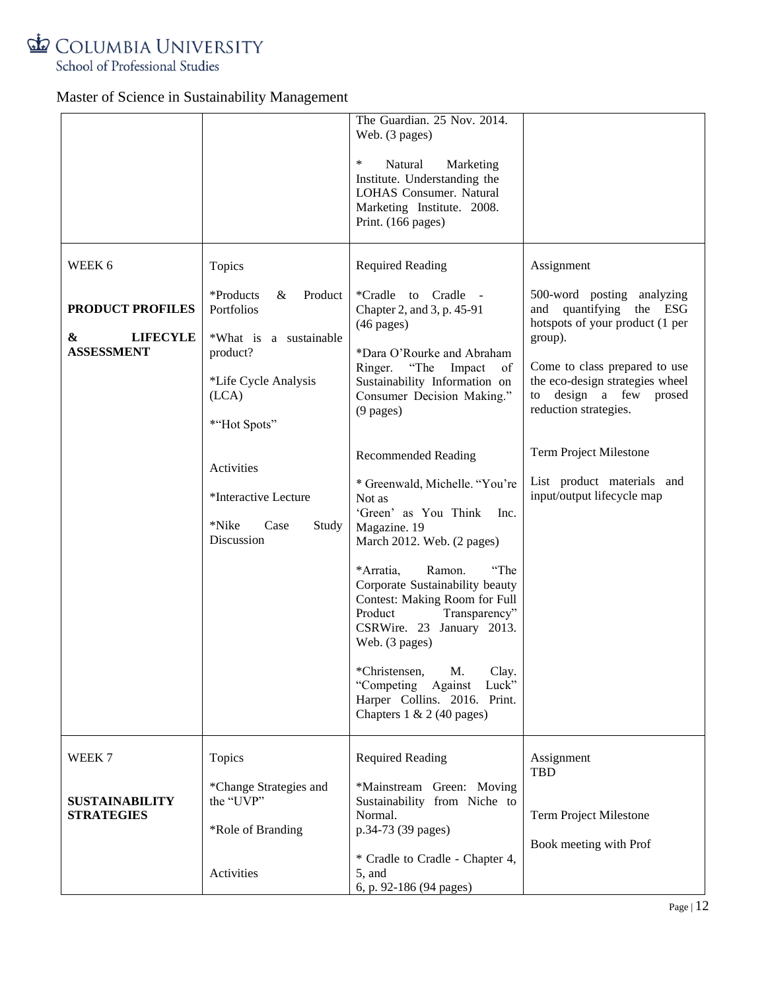

School of Professional Studies

|                                                      |                                                                                     | The Guardian. 25 Nov. 2014.<br>Web. (3 pages)<br>∗<br>Natural<br>Marketing<br>Institute. Understanding the<br>LOHAS Consumer. Natural<br>Marketing Institute. 2008.<br>Print. (166 pages)                                                                                                                                                                                                                                                                      |                                                                                                                                |
|------------------------------------------------------|-------------------------------------------------------------------------------------|----------------------------------------------------------------------------------------------------------------------------------------------------------------------------------------------------------------------------------------------------------------------------------------------------------------------------------------------------------------------------------------------------------------------------------------------------------------|--------------------------------------------------------------------------------------------------------------------------------|
| WEEK 6                                               | Topics                                                                              | <b>Required Reading</b>                                                                                                                                                                                                                                                                                                                                                                                                                                        | Assignment                                                                                                                     |
| <b>PRODUCT PROFILES</b>                              | *Products<br>$\&$<br>Product<br>Portfolios                                          | *Cradle to Cradle<br>Chapter 2, and 3, p. 45-91<br>$(46 \text{ pages})$                                                                                                                                                                                                                                                                                                                                                                                        | 500-word posting analyzing<br>and quantifying the ESG<br>hotspots of your product (1 per                                       |
| <b>LIFECYLE</b><br>&<br><b>ASSESSMENT</b>            | *What is a sustainable<br>product?<br>*Life Cycle Analysis<br>(LCA)<br>*"Hot Spots" | *Dara O'Rourke and Abraham<br>"The<br>Ringer.<br>Impact<br>of<br>Sustainability Information on<br>Consumer Decision Making."<br>$(9$ pages)                                                                                                                                                                                                                                                                                                                    | group).<br>Come to class prepared to use<br>the eco-design strategies wheel<br>to design a few prosed<br>reduction strategies. |
|                                                      | Activities<br>*Interactive Lecture<br>*Nike<br>Case<br>Study<br>Discussion          | <b>Recommended Reading</b><br>* Greenwald, Michelle. "You're<br>Not as<br>'Green' as You Think<br>Inc.<br>Magazine. 19<br>March 2012. Web. (2 pages)<br>Ramon.<br>"The<br>*Arratia,<br>Corporate Sustainability beauty<br>Contest: Making Room for Full<br>Transparency"<br>Product<br>CSRWire. 23 January 2013.<br>Web. (3 pages)<br>*Christensen,<br>Clay.<br>M.<br>"Competing Against<br>Luck"<br>Harper Collins. 2016. Print.<br>Chapters 1 & 2 (40 pages) | Term Project Milestone<br>List product materials and<br>input/output lifecycle map                                             |
| WEEK 7<br><b>SUSTAINABILITY</b><br><b>STRATEGIES</b> | Topics<br>*Change Strategies and<br>the "UVP"<br>*Role of Branding<br>Activities    | <b>Required Reading</b><br>*Mainstream Green: Moving<br>Sustainability from Niche to<br>Normal.<br>p.34-73 (39 pages)<br>* Cradle to Cradle - Chapter 4,<br>$5$ , and                                                                                                                                                                                                                                                                                          | Assignment<br>TBD<br>Term Project Milestone<br>Book meeting with Prof                                                          |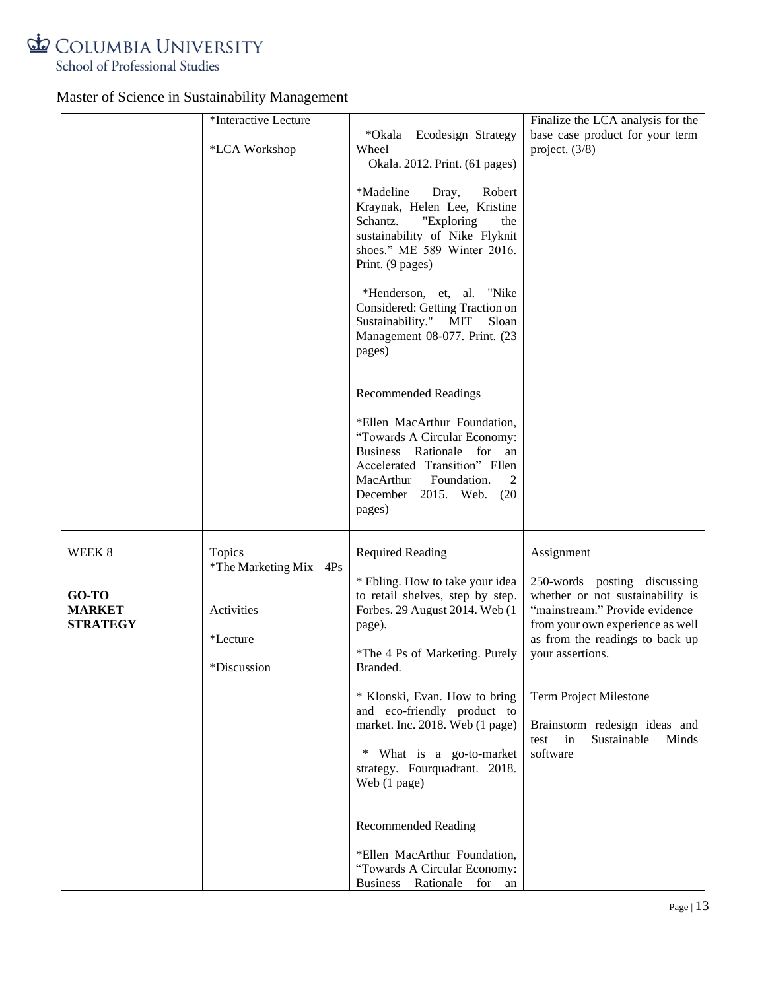

|                                           | *Interactive Lecture                         |                                                                                                                                                                                                                                                                                                                                | Finalize the LCA analysis for the                                                                                                                                                             |
|-------------------------------------------|----------------------------------------------|--------------------------------------------------------------------------------------------------------------------------------------------------------------------------------------------------------------------------------------------------------------------------------------------------------------------------------|-----------------------------------------------------------------------------------------------------------------------------------------------------------------------------------------------|
|                                           | *LCA Workshop                                | *Okala Ecodesign Strategy<br>Wheel<br>Okala. 2012. Print. (61 pages)                                                                                                                                                                                                                                                           | base case product for your term<br>project. $(3/8)$                                                                                                                                           |
|                                           |                                              | *Madeline<br>Robert<br>Dray,<br>Kraynak, Helen Lee, Kristine<br>Schantz.<br>"Exploring<br>the<br>sustainability of Nike Flyknit<br>shoes." ME 589 Winter 2016.<br>Print. (9 pages)<br>*Henderson, et, al. "Nike<br>Considered: Getting Traction on<br>Sustainability." MIT<br>Sloan<br>Management 08-077. Print. (23<br>pages) |                                                                                                                                                                                               |
|                                           |                                              | <b>Recommended Readings</b><br>*Ellen MacArthur Foundation,<br>"Towards A Circular Economy:<br>Business Rationale for an<br>Accelerated Transition" Ellen<br>Foundation.<br>MacArthur<br>2<br>December<br>2015. Web. (20)<br>pages)                                                                                            |                                                                                                                                                                                               |
| WEEK 8                                    | Topics<br>*The Marketing $Mix - 4Ps$         | <b>Required Reading</b>                                                                                                                                                                                                                                                                                                        | Assignment                                                                                                                                                                                    |
| GO-TO<br><b>MARKET</b><br><b>STRATEGY</b> | Activities<br><i>*Lecture</i><br>*Discussion | * Ebling. How to take your idea<br>to retail shelves, step by step.<br>Forbes. 29 August 2014. Web (1<br>page).<br>*The 4 Ps of Marketing. Purely<br>Branded.                                                                                                                                                                  | 250-words posting discussing<br>whether or not sustainability is<br>"mainstream." Provide evidence<br>from your own experience as well<br>as from the readings to back up<br>your assertions. |
|                                           |                                              | * Klonski, Evan. How to bring<br>and eco-friendly product to<br>market. Inc. 2018. Web (1 page)<br>* What is a go-to-market<br>strategy. Fourquadrant. 2018.<br>Web (1 page)                                                                                                                                                   | Term Project Milestone<br>Brainstorm redesign ideas and<br>in<br>Sustainable<br>test<br>Minds<br>software                                                                                     |
|                                           |                                              | <b>Recommended Reading</b><br>*Ellen MacArthur Foundation,<br>"Towards A Circular Economy:<br><b>Business</b><br>Rationale for<br>an                                                                                                                                                                                           |                                                                                                                                                                                               |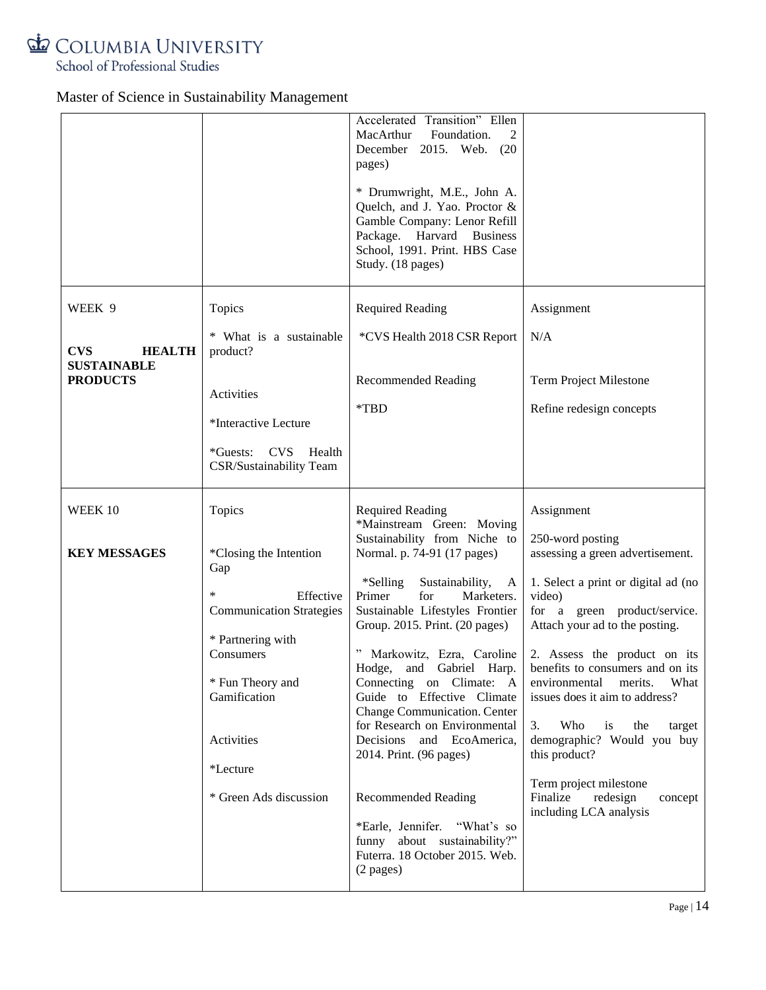

|                                       |                                                                        | Accelerated Transition" Ellen<br>MacArthur<br>Foundation.<br>2<br>December 2015. Web. (20<br>pages)                                                                             |                                                                                                                 |
|---------------------------------------|------------------------------------------------------------------------|---------------------------------------------------------------------------------------------------------------------------------------------------------------------------------|-----------------------------------------------------------------------------------------------------------------|
|                                       |                                                                        | * Drumwright, M.E., John A.<br>Quelch, and J. Yao. Proctor &<br>Gamble Company: Lenor Refill<br>Package. Harvard Business<br>School, 1991. Print. HBS Case<br>Study. (18 pages) |                                                                                                                 |
| WEEK 9                                | Topics                                                                 | <b>Required Reading</b>                                                                                                                                                         | Assignment                                                                                                      |
| <b>CVS</b><br><b>HEALTH</b>           | * What is a sustainable<br>product?                                    | *CVS Health 2018 CSR Report                                                                                                                                                     | N/A                                                                                                             |
| <b>SUSTAINABLE</b><br><b>PRODUCTS</b> | Activities                                                             | <b>Recommended Reading</b><br>*TBD                                                                                                                                              | Term Project Milestone<br>Refine redesign concepts                                                              |
|                                       | *Interactive Lecture                                                   |                                                                                                                                                                                 |                                                                                                                 |
|                                       | *Guests: CVS<br>Health<br>CSR/Sustainability Team                      |                                                                                                                                                                                 |                                                                                                                 |
| WEEK 10                               | Topics                                                                 | <b>Required Reading</b><br>*Mainstream Green: Moving                                                                                                                            | Assignment                                                                                                      |
| <b>KEY MESSAGES</b>                   | *Closing the Intention<br>Gap                                          | Sustainability from Niche to<br>Normal. p. 74-91 (17 pages)                                                                                                                     | 250-word posting<br>assessing a green advertisement.                                                            |
|                                       | *<br>Effective<br><b>Communication Strategies</b><br>* Partnering with | *Selling*<br>Sustainability,<br>A<br>Primer<br>for<br>Marketers.<br>Sustainable Lifestyles Frontier<br>Group. 2015. Print. (20 pages)                                           | 1. Select a print or digital ad (no<br>video)<br>for a green product/service.<br>Attach your ad to the posting. |
|                                       | Consumers<br>* Fun Theory and                                          | " Markowitz, Ezra, Caroline<br>Hodge, and Gabriel Harp.<br>Connecting on Climate: A                                                                                             | 2. Assess the product on its<br>benefits to consumers and on its<br>environmental<br>merits. What               |
|                                       | Gamification                                                           | Guide to Effective Climate<br>Change Communication. Center                                                                                                                      | issues does it aim to address?                                                                                  |
|                                       | Activities                                                             | for Research on Environmental<br>Decisions and EcoAmerica,<br>2014. Print. (96 pages)                                                                                           | Who<br>3.<br>is<br>the<br>target<br>demographic? Would you buy<br>this product?                                 |
|                                       | *Lecture<br>* Green Ads discussion                                     |                                                                                                                                                                                 | Term project milestone<br>Finalize                                                                              |
|                                       |                                                                        | <b>Recommended Reading</b><br>*Earle, Jennifer. "What's so<br>funny about sustainability?"<br>Futerra. 18 October 2015. Web.<br>(2 pages)                                       | redesign<br>concept<br>including LCA analysis                                                                   |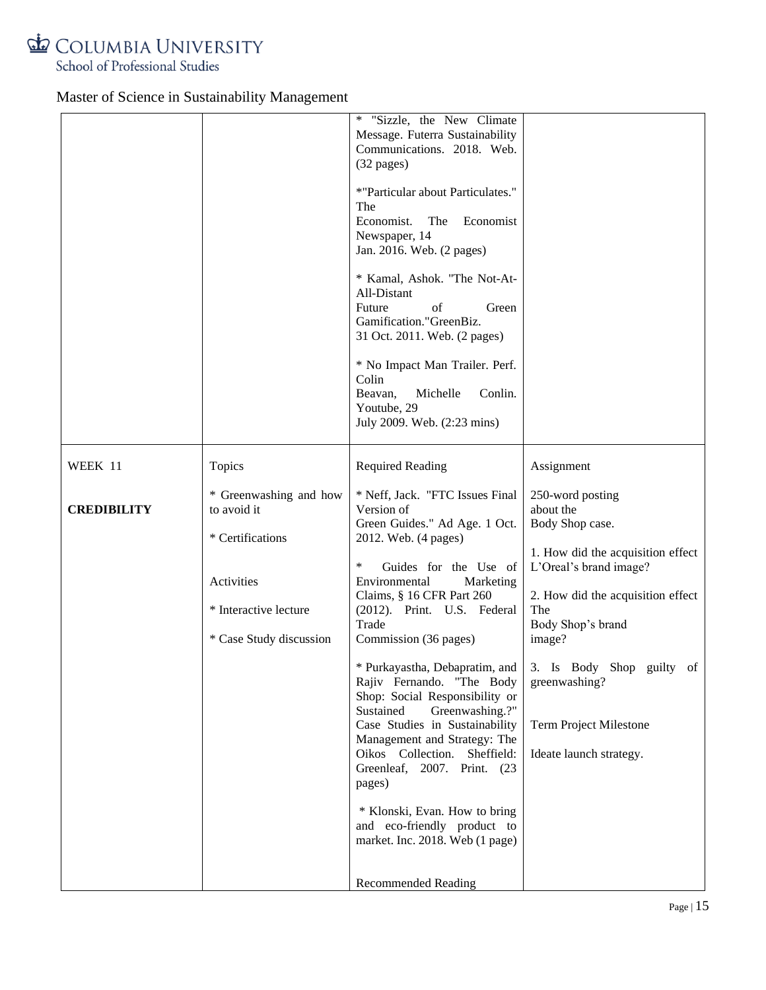

|                    |                                       | ∗<br>"Sizzle, the New Climate<br>Message. Futerra Sustainability<br>Communications. 2018. Web.<br>$(32 \text{ pages})$ |                                                                           |
|--------------------|---------------------------------------|------------------------------------------------------------------------------------------------------------------------|---------------------------------------------------------------------------|
|                    |                                       | *"Particular about Particulates."<br>The<br>Economist.<br>The<br>Economist<br>Newspaper, 14                            |                                                                           |
|                    |                                       | Jan. 2016. Web. (2 pages)                                                                                              |                                                                           |
|                    |                                       | * Kamal, Ashok. "The Not-At-<br>All-Distant<br>Future<br>of<br>Green                                                   |                                                                           |
|                    |                                       | Gamification."GreenBiz.<br>31 Oct. 2011. Web. (2 pages)                                                                |                                                                           |
|                    |                                       | * No Impact Man Trailer. Perf.<br>Colin<br>Michelle<br>Conlin.<br>Beavan,                                              |                                                                           |
|                    |                                       | Youtube, 29<br>July 2009. Web. (2:23 mins)                                                                             |                                                                           |
| WEEK 11            | Topics                                | <b>Required Reading</b>                                                                                                | Assignment                                                                |
| <b>CREDIBILITY</b> | * Greenwashing and how<br>to avoid it | * Neff, Jack. "FTC Issues Final<br>Version of<br>Green Guides." Ad Age. 1 Oct.                                         | 250-word posting<br>about the<br>Body Shop case.                          |
|                    | * Certifications                      | 2012. Web. (4 pages)                                                                                                   | 1. How did the acquisition effect                                         |
|                    | Activities                            | $\ast$<br>Guides for the Use of<br>Environmental<br>Marketing                                                          | L'Oreal's brand image?                                                    |
|                    | * Interactive lecture                 | Claims, § 16 CFR Part 260<br>(2012). Print. U.S. Federal                                                               | 2. How did the acquisition effect<br>The                                  |
|                    |                                       | Trade                                                                                                                  | Body Shop's brand                                                         |
|                    | * Case Study discussion               | Commission (36 pages)                                                                                                  | image?                                                                    |
|                    |                                       | Rajiv Fernando. "The Body<br>Shop: Social Responsibility or                                                            | * Purkayastha, Debapratim, and 3. Is Body Shop guilty of<br>greenwashing? |
|                    |                                       | Sustained<br>Greenwashing.?"<br>Case Studies in Sustainability                                                         | <b>Term Project Milestone</b>                                             |
|                    |                                       | Management and Strategy: The<br>Oikos Collection. Sheffield:                                                           | Ideate launch strategy.                                                   |
|                    |                                       | Greenleaf, 2007. Print. (23<br>pages)                                                                                  |                                                                           |
|                    |                                       | * Klonski, Evan. How to bring                                                                                          |                                                                           |
|                    |                                       | and eco-friendly product to<br>market. Inc. 2018. Web (1 page)                                                         |                                                                           |
|                    |                                       | <b>Recommended Reading</b>                                                                                             |                                                                           |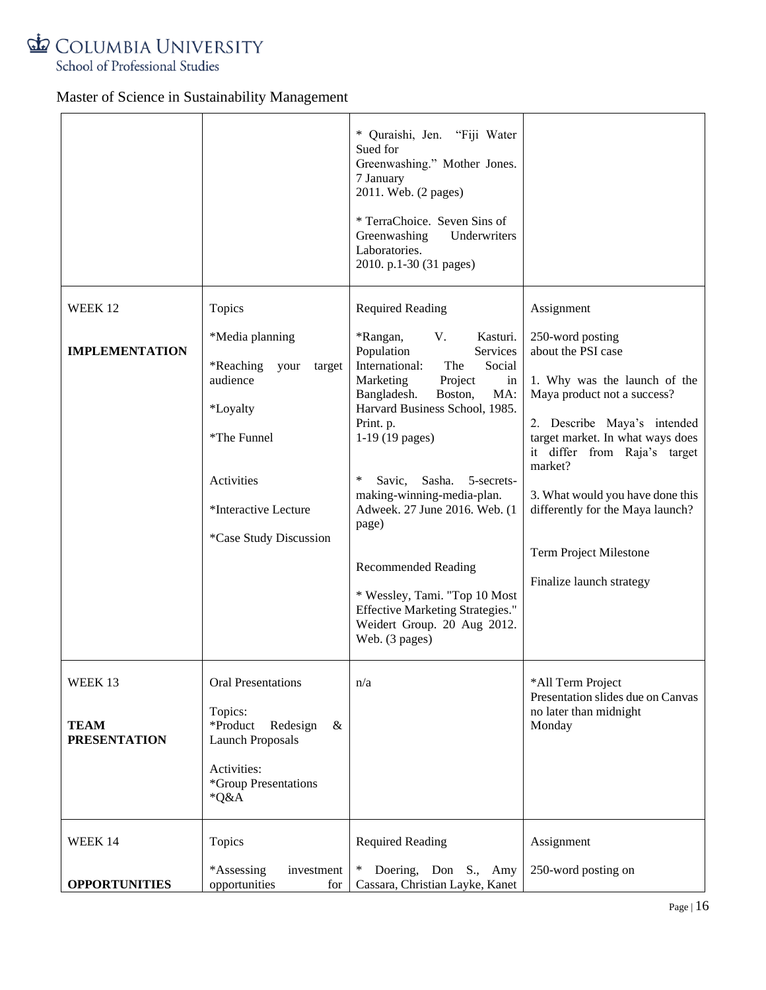

|                                               |                                                                                                                                                           | * Quraishi, Jen. "Fiji Water<br>Sued for<br>Greenwashing." Mother Jones.<br>7 January<br>2011. Web. (2 pages)<br>* TerraChoice. Seven Sins of<br>Greenwashing<br>Underwriters<br>Laboratories.<br>2010. p.1-30 (31 pages)                                                                                                                                                                                                                                                                             |                                                                                                                                                                                                                                                                                                                                                   |
|-----------------------------------------------|-----------------------------------------------------------------------------------------------------------------------------------------------------------|-------------------------------------------------------------------------------------------------------------------------------------------------------------------------------------------------------------------------------------------------------------------------------------------------------------------------------------------------------------------------------------------------------------------------------------------------------------------------------------------------------|---------------------------------------------------------------------------------------------------------------------------------------------------------------------------------------------------------------------------------------------------------------------------------------------------------------------------------------------------|
| WEEK 12                                       | Topics                                                                                                                                                    | <b>Required Reading</b>                                                                                                                                                                                                                                                                                                                                                                                                                                                                               | Assignment                                                                                                                                                                                                                                                                                                                                        |
| <b>IMPLEMENTATION</b>                         | *Media planning<br>*Reaching your<br>target<br>audience<br><i>*Loyalty</i><br>*The Funnel<br>Activities<br>*Interactive Lecture<br>*Case Study Discussion | *Rangan,<br>V.<br>Kasturi.<br>Population<br>Services<br>International:<br>The<br>Social<br>Marketing<br>Project<br>in<br>Bangladesh.<br>Boston,<br>MA:<br>Harvard Business School, 1985.<br>Print. p.<br>$1-19(19$ pages)<br>$\ast$<br>Savic, Sasha.<br>5-secrets-<br>making-winning-media-plan.<br>Adweek. 27 June 2016. Web. (1<br>page)<br><b>Recommended Reading</b><br>* Wessley, Tami. "Top 10 Most<br><b>Effective Marketing Strategies."</b><br>Weidert Group. 20 Aug 2012.<br>Web. (3 pages) | 250-word posting<br>about the PSI case<br>1. Why was the launch of the<br>Maya product not a success?<br>2. Describe Maya's intended<br>target market. In what ways does<br>it differ from Raja's target<br>market?<br>3. What would you have done this<br>differently for the Maya launch?<br>Term Project Milestone<br>Finalize launch strategy |
| WEEK 13<br><b>TEAM</b><br><b>PRESENTATION</b> | <b>Oral Presentations</b><br>Topics:<br>*Product<br>Redesign<br>$\&$<br><b>Launch Proposals</b><br>Activities:<br>*Group Presentations<br>*Q&A            | n/a                                                                                                                                                                                                                                                                                                                                                                                                                                                                                                   | *All Term Project<br>Presentation slides due on Canvas<br>no later than midnight<br>Monday                                                                                                                                                                                                                                                        |
| WEEK 14<br><b>OPPORTUNITIES</b>               | Topics<br>*Assessing<br>investment<br>opportunities<br>for                                                                                                | <b>Required Reading</b><br>$\ast$<br>Doering, Don S., Amy<br>Cassara, Christian Layke, Kanet                                                                                                                                                                                                                                                                                                                                                                                                          | Assignment<br>250-word posting on                                                                                                                                                                                                                                                                                                                 |